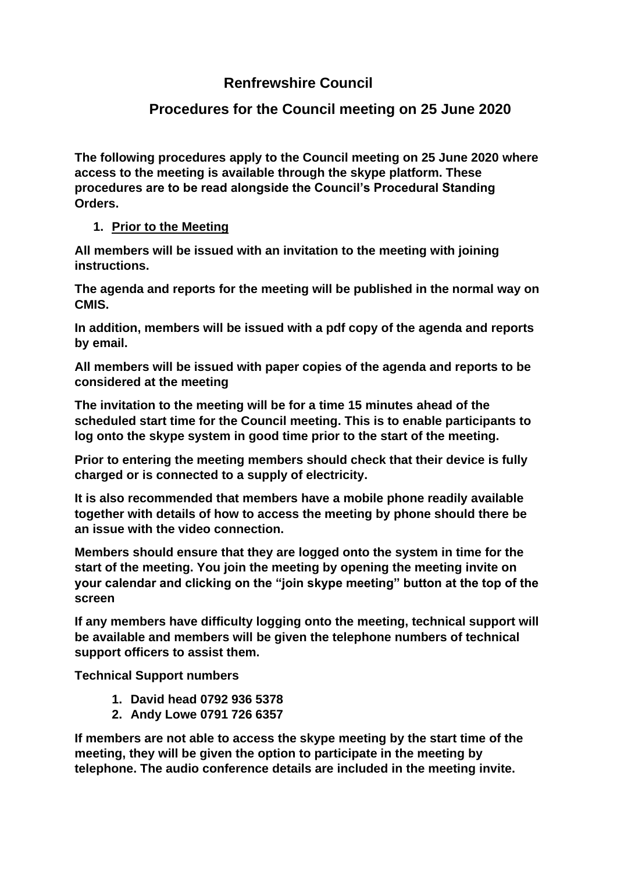# **Renfrewshire Council**

# **Procedures for the Council meeting on 25 June 2020**

**The following procedures apply to the Council meeting on 25 June 2020 where access to the meeting is available through the skype platform. These procedures are to be read alongside the Council's Procedural Standing Orders.**

### **1. Prior to the Meeting**

**All members will be issued with an invitation to the meeting with joining instructions.**

**The agenda and reports for the meeting will be published in the normal way on CMIS.**

**In addition, members will be issued with a pdf copy of the agenda and reports by email.**

**All members will be issued with paper copies of the agenda and reports to be considered at the meeting**

**The invitation to the meeting will be for a time 15 minutes ahead of the scheduled start time for the Council meeting. This is to enable participants to log onto the skype system in good time prior to the start of the meeting.**

**Prior to entering the meeting members should check that their device is fully charged or is connected to a supply of electricity.**

**It is also recommended that members have a mobile phone readily available together with details of how to access the meeting by phone should there be an issue with the video connection.**

**Members should ensure that they are logged onto the system in time for the start of the meeting. You join the meeting by opening the meeting invite on your calendar and clicking on the "join skype meeting" button at the top of the screen**

**If any members have difficulty logging onto the meeting, technical support will be available and members will be given the telephone numbers of technical support officers to assist them.**

**Technical Support numbers**

- **1. David head 0792 936 5378**
- **2. Andy Lowe 0791 726 6357**

**If members are not able to access the skype meeting by the start time of the meeting, they will be given the option to participate in the meeting by telephone. The audio conference details are included in the meeting invite.**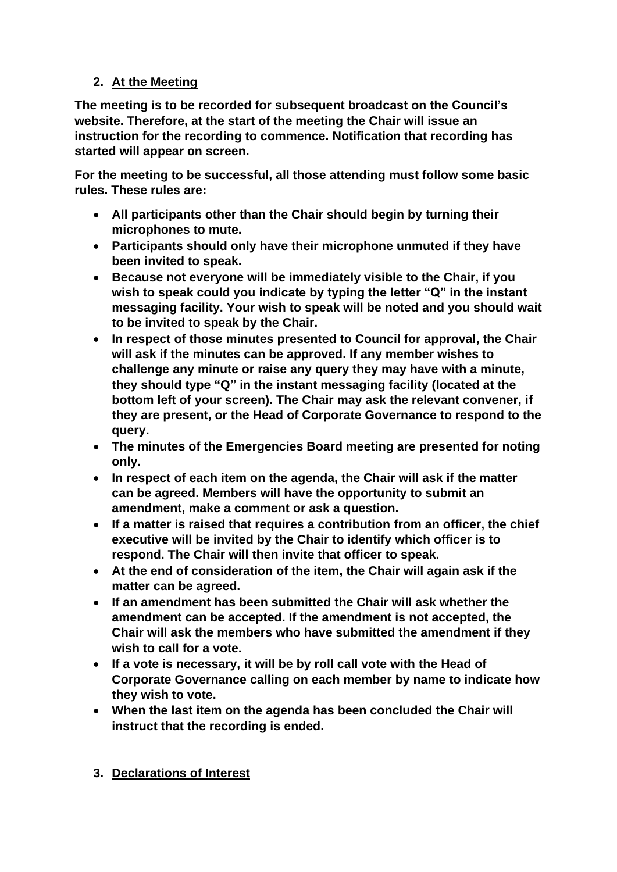### **2. At the Meeting**

**The meeting is to be recorded for subsequent broadcast on the Council's website. Therefore, at the start of the meeting the Chair will issue an instruction for the recording to commence. Notification that recording has started will appear on screen.**

**For the meeting to be successful, all those attending must follow some basic rules. These rules are:**

- **All participants other than the Chair should begin by turning their microphones to mute.**
- **Participants should only have their microphone unmuted if they have been invited to speak.**
- **Because not everyone will be immediately visible to the Chair, if you wish to speak could you indicate by typing the letter "Q" in the instant messaging facility. Your wish to speak will be noted and you should wait to be invited to speak by the Chair.**
- **In respect of those minutes presented to Council for approval, the Chair will ask if the minutes can be approved. If any member wishes to challenge any minute or raise any query they may have with a minute, they should type "Q" in the instant messaging facility (located at the bottom left of your screen). The Chair may ask the relevant convener, if they are present, or the Head of Corporate Governance to respond to the query.**
- **The minutes of the Emergencies Board meeting are presented for noting only.**
- **In respect of each item on the agenda, the Chair will ask if the matter can be agreed. Members will have the opportunity to submit an amendment, make a comment or ask a question.**
- **If a matter is raised that requires a contribution from an officer, the chief executive will be invited by the Chair to identify which officer is to respond. The Chair will then invite that officer to speak.**
- **At the end of consideration of the item, the Chair will again ask if the matter can be agreed.**
- **If an amendment has been submitted the Chair will ask whether the amendment can be accepted. If the amendment is not accepted, the Chair will ask the members who have submitted the amendment if they wish to call for a vote.**
- **If a vote is necessary, it will be by roll call vote with the Head of Corporate Governance calling on each member by name to indicate how they wish to vote.**
- **When the last item on the agenda has been concluded the Chair will instruct that the recording is ended.**
- **3. Declarations of Interest**